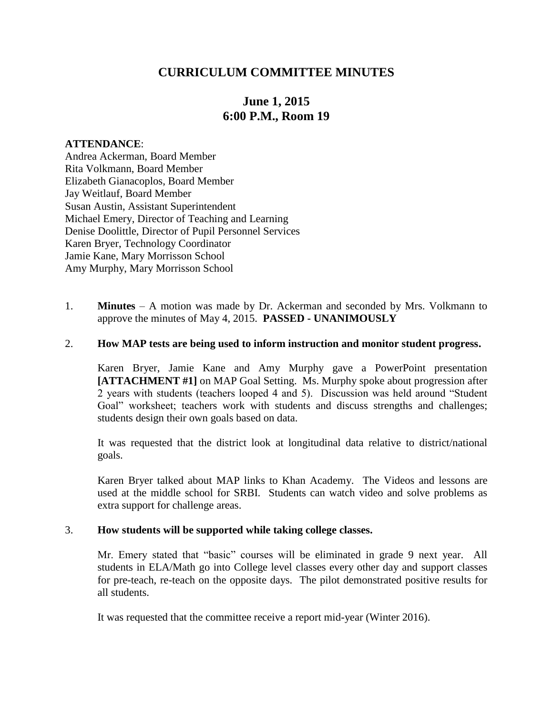## **CURRICULUM COMMITTEE MINUTES**

# **June 1, 2015 6:00 P.M., Room 19**

#### **ATTENDANCE**:

Andrea Ackerman, Board Member Rita Volkmann, Board Member Elizabeth Gianacoplos, Board Member Jay Weitlauf, Board Member Susan Austin, Assistant Superintendent Michael Emery, Director of Teaching and Learning Denise Doolittle, Director of Pupil Personnel Services Karen Bryer, Technology Coordinator Jamie Kane, Mary Morrisson School Amy Murphy, Mary Morrisson School

1. **Minutes** – A motion was made by Dr. Ackerman and seconded by Mrs. Volkmann to approve the minutes of May 4, 2015. **PASSED - UNANIMOUSLY**

#### 2. **How MAP tests are being used to inform instruction and monitor student progress.**

Karen Bryer, Jamie Kane and Amy Murphy gave a PowerPoint presentation **[ATTACHMENT #1]** on MAP Goal Setting. Ms. Murphy spoke about progression after 2 years with students (teachers looped 4 and 5). Discussion was held around "Student Goal" worksheet; teachers work with students and discuss strengths and challenges; students design their own goals based on data.

It was requested that the district look at longitudinal data relative to district/national goals.

Karen Bryer talked about MAP links to Khan Academy. The Videos and lessons are used at the middle school for SRBI. Students can watch video and solve problems as extra support for challenge areas.

#### 3. **How students will be supported while taking college classes.**

Mr. Emery stated that "basic" courses will be eliminated in grade 9 next year. All students in ELA/Math go into College level classes every other day and support classes for pre-teach, re-teach on the opposite days. The pilot demonstrated positive results for all students.

It was requested that the committee receive a report mid-year (Winter 2016).